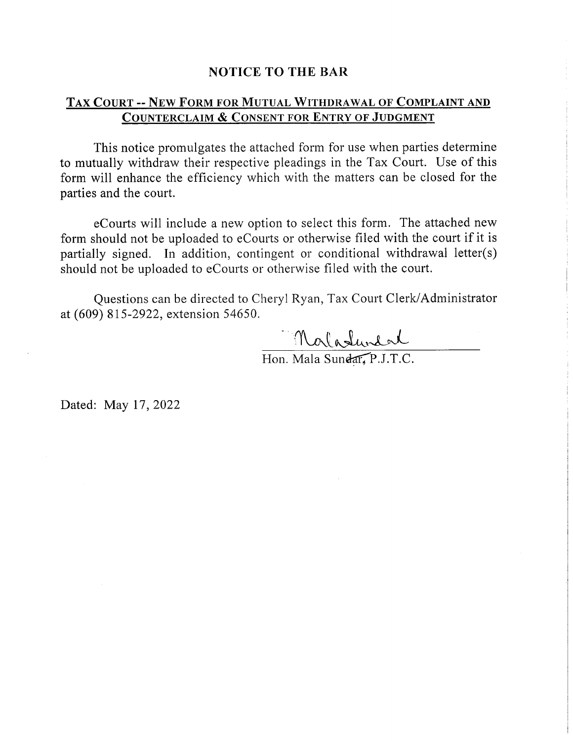#### **NOTICE TO THE BAR**

### TAX COURT -- NEW FORM FOR MUTUAL WITHDRAWAL OF COMPLAINT AND **COUNTERCLAIM & CONSENT FOR ENTRY OF JUDGMENT**

This notice promulgates the attached form for use when parties determine to mutually withdraw their respective pleadings in the Tax Court. Use of this form will enhance the efficiency which with the matters can be closed for the parties and the court.

eCourts will include a new option to select this form. The attached new form should not be uploaded to eCourts or otherwise filed with the court if it is partially signed. In addition, contingent or conditional withdrawal letter(s) should not be uploaded to eCourts or otherwise filed with the court.

Ouestions can be directed to Cheryl Ryan, Tax Court Clerk/Administrator at (609) 815-2922, extension 54650.

Maladundal

Dated: May 17, 2022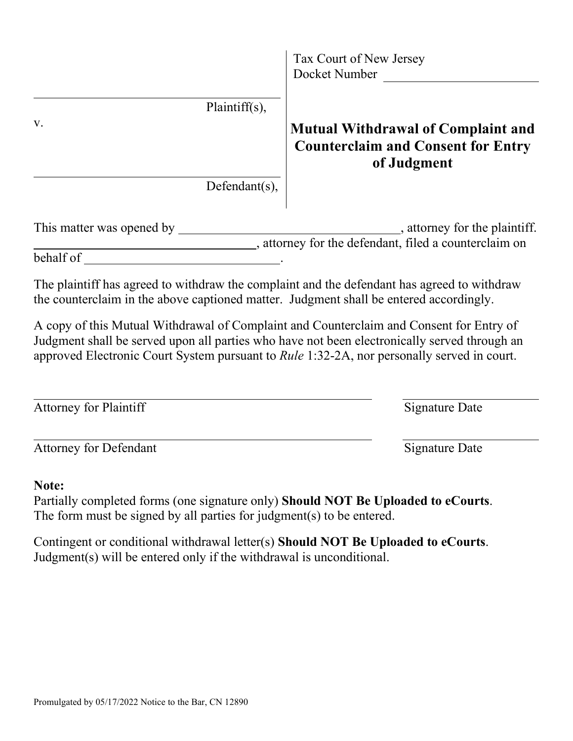|                                                                                                                                                                                                                                                                                       | Tax Court of New Jersey<br>Docket Number                                                              |
|---------------------------------------------------------------------------------------------------------------------------------------------------------------------------------------------------------------------------------------------------------------------------------------|-------------------------------------------------------------------------------------------------------|
| Plaintiff(s),<br>V.                                                                                                                                                                                                                                                                   | <b>Mutual Withdrawal of Complaint and</b><br><b>Counterclaim and Consent for Entry</b><br>of Judgment |
| Defendant(s),                                                                                                                                                                                                                                                                         |                                                                                                       |
|                                                                                                                                                                                                                                                                                       | attorney for the defendant, filed a counterclaim on                                                   |
|                                                                                                                                                                                                                                                                                       |                                                                                                       |
| The plaintiff has agreed to withdraw the complaint and the defendant has agreed to withdraw<br>the counterclaim in the above captioned matter. Judgment shall be entered accordingly.                                                                                                 |                                                                                                       |
| A copy of this Mutual Withdrawal of Complaint and Counterclaim and Consent for Entry of<br>Judgment shall be served upon all parties who have not been electronically served through an<br>approved Electronic Court System pursuant to Rule 1:32-2A, nor personally served in court. |                                                                                                       |
| Attorney for Plaintiff                                                                                                                                                                                                                                                                | Signature Date                                                                                        |
| <b>Attorney for Defendant</b>                                                                                                                                                                                                                                                         | <b>Signature Date</b>                                                                                 |
| Note:<br>Partially completed forms (one signature only) Should NOT Be Uploaded to eCourts.<br>The form must be signed by all parties for judgment(s) to be entered.                                                                                                                   |                                                                                                       |
| Contingent or conditional withdrawal letter(s) Should NOT Be Uploaded to eCourts.<br>Judgment(s) will be entered only if the withdrawal is unconditional.                                                                                                                             |                                                                                                       |
|                                                                                                                                                                                                                                                                                       |                                                                                                       |
|                                                                                                                                                                                                                                                                                       |                                                                                                       |
|                                                                                                                                                                                                                                                                                       |                                                                                                       |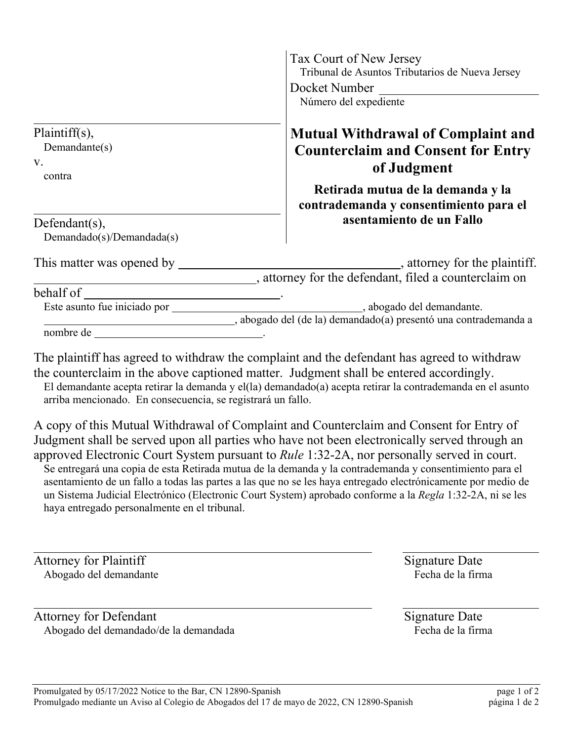|                                                | Tax Court of New Jersey<br>Tribunal de Asuntos Tributarios de Nueva Jersey                             |
|------------------------------------------------|--------------------------------------------------------------------------------------------------------|
|                                                | Docket Number<br>Número del expediente                                                                 |
| Plaintiff(s),<br>Demandante(s)<br>V.           | <b>Mutual Withdrawal of Complaint and</b><br><b>Counterclaim and Consent for Entry</b><br>of Judgment  |
| contra                                         | Retirada mutua de la demanda y la<br>contrademanda y consentimiento para el                            |
| Defendant $(s)$ ,<br>Demandado(s)/Demandada(s) | asentamiento de un Fallo                                                                               |
| This matter was opened by                      | $\overline{a}$ , attorney for the plaintiff.<br>_, attorney for the defendant, filed a counterclaim on |
| behalf of                                      |                                                                                                        |
| Este asunto fue iniciado por                   | , abogado del demandante.<br>o abogado del (de la) demandado(a) presentó una contrademanda a           |
| nombre de                                      |                                                                                                        |
|                                                |                                                                                                        |

The plaintiff has agreed to withdraw the complaint and the defendant has agreed to withdraw the counterclaim in the above captioned matter. Judgment shall be entered accordingly. El demandante acepta retirar la demanda y el(la) demandado(a) acepta retirar la contrademanda en el asunto arriba mencionado. En consecuencia, se registrará un fallo.

A copy of this Mutual Withdrawal of Complaint and Counterclaim and Consent for Entry of Judgment shall be served upon all parties who have not been electronically served through an approved Electronic Court System pursuant to *Rule* 1:32-2A, nor personally served in court. Se entregará una copia de esta Retirada mutua de la demanda y la contrademanda y consentimiento para el asentamiento de un fallo a todas las partes a las que no se les haya entregado electrónicamente por medio de un Sistema Judicial Electrónico (Electronic Court System) aprobado conforme a la *Regla* 1:32-2A, ni se les haya entregado personalmente en el tribunal.

Attorney for Plaintiff Signature Date Abogado del demandante entre a matematica e la firma entre Fecha de la firma

Attorney for Defendant Signature Date Abogado del demandado/de la demandada Fecha de la firma